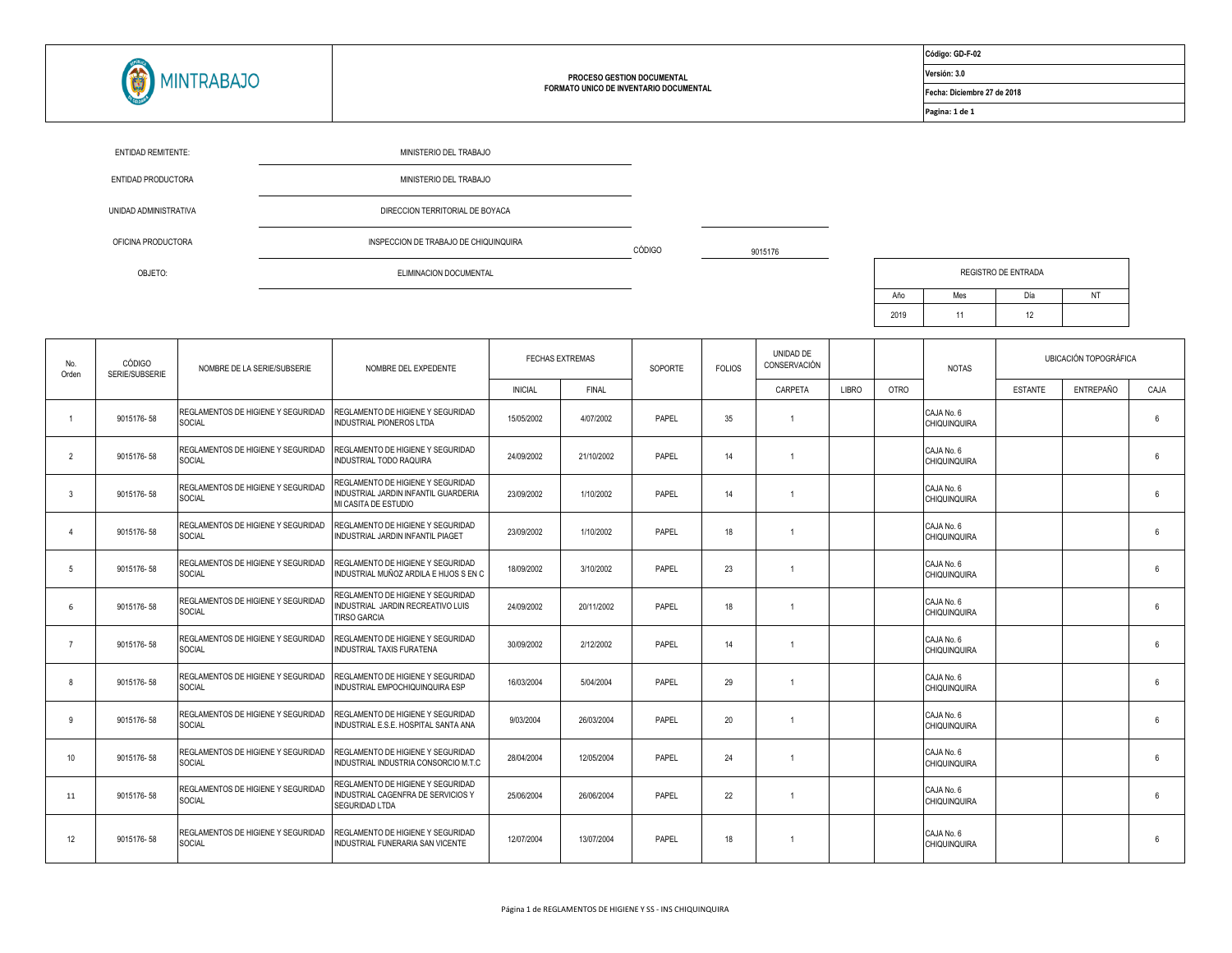

## **PROCESO GESTION DOCUMENTAL FORMATO UNICO DE INVENTARIO DOCUMENTAL**

9015176

**Código: GD-F-02**

**Versión: 3.0**

**Fecha: Diciembre 27 de 2018**

**Pagina: 1 de 1**

| <b>ENTIDAD REMITENTE:</b> | MINISTERIO DEL TRABAJO                |        |  |
|---------------------------|---------------------------------------|--------|--|
| ENTIDAD PRODUCTORA        | MINISTERIO DEL TRABAJO                |        |  |
| UNIDAD ADMINISTRATIVA     | DIRECCION TERRITORIAL DE BOYACA       |        |  |
| OFICINA PRODUCTORA        | INSPECCION DE TRABAJO DE CHIQUINQUIRA | CÓDIGO |  |
| OBJETO:                   | ELIMINACION DOCUMENTAL                |        |  |

| <b>REGISTRO DE ENTRADA</b> |     |     |    |  |  |  |  |  |  |
|----------------------------|-----|-----|----|--|--|--|--|--|--|
| Año                        | Mes | Día | ΝT |  |  |  |  |  |  |
| 2019                       | 11  | 12  |    |  |  |  |  |  |  |

| No.<br>Orden    | CÓDIGO<br>SERIE/SUBSERIE | NOMBRE DE LA SERIE/SUBSERIE                         | NOMBRE DEL EXPEDENTE                                                                              | <b>FECHAS EXTREMAS</b> |              |       |    |                |       | SOPORTE     | <b>FOLIOS</b>                     | UNIDAD DE<br>CONSERVACIÓN |           |                       | <b>NOTAS</b> |  | UBICACIÓN TOPOGRÁFICA |  |
|-----------------|--------------------------|-----------------------------------------------------|---------------------------------------------------------------------------------------------------|------------------------|--------------|-------|----|----------------|-------|-------------|-----------------------------------|---------------------------|-----------|-----------------------|--------------|--|-----------------------|--|
|                 |                          |                                                     |                                                                                                   | <b>INICIAL</b>         | <b>FINAL</b> |       |    | CARPETA        | LIBRO | <b>OTRO</b> |                                   | <b>ESTANTE</b>            | ENTREPAÑO | CAJA                  |              |  |                       |  |
|                 | 9015176-58               | REGLAMENTOS DE HIGIENE Y SEGURIDAD<br>SOCIAL        | REGLAMENTO DE HIGIENE Y SEGURIDAD<br>INDUSTRIAL PIONEROS LTDA                                     | 15/05/2002             | 4/07/2002    | PAPEL | 35 | $\overline{1}$ |       |             | CAJA No. 6<br>CHIQUINQUIRA        |                           |           | $\boldsymbol{\kappa}$ |              |  |                       |  |
| $\overline{2}$  | 9015176-58               | <b>REGLAMENTOS DE HIGIENE Y SEGURIDAD</b><br>SOCIAL | REGLAMENTO DE HIGIENE Y SEGURIDAD<br>INDUSTRIAL TODO RAQUIRA                                      | 24/09/2002             | 21/10/2002   | PAPEL | 14 | $\overline{1}$ |       |             | CAJA No. 6<br>CHIQUINQUIRA        |                           |           | 6                     |              |  |                       |  |
| $\mathbf{3}$    | 9015176-58               | REGLAMENTOS DE HIGIENE Y SEGURIDAD<br><b>SOCIAL</b> | REGLAMENTO DE HIGIENE Y SEGURIDAD<br>INDUSTRIAL JARDIN INFANTIL GUARDERIA<br>MI CASITA DE ESTUDIO | 23/09/2002             | 1/10/2002    | PAPEL | 14 | $\overline{1}$ |       |             | CAJA No. 6<br><b>CHIQUINQUIRA</b> |                           |           | 6                     |              |  |                       |  |
|                 | 9015176-58               | REGLAMENTOS DE HIGIENE Y SEGURIDAD<br><b>SOCIAL</b> | REGLAMENTO DE HIGIENE Y SEGURIDAD<br>INDUSTRIAL JARDIN INFANTIL PIAGET                            | 23/09/2002             | 1/10/2002    | PAPEL | 18 |                |       |             | CAJA No. 6<br>CHIQUINQUIRA        |                           |           | 6                     |              |  |                       |  |
| 5               | 9015176-58               | REGLAMENTOS DE HIGIENE Y SEGURIDAD<br>SOCIAL        | REGLAMENTO DE HIGIENE Y SEGURIDAD<br>INDUSTRIAL MUÑOZ ARDILA E HIJOS S EN C                       | 18/09/2002             | 3/10/2002    | PAPEL | 23 |                |       |             | CAJA No. 6<br><b>CHIQUINQUIRA</b> |                           |           | 6                     |              |  |                       |  |
| 6               | 9015176-58               | <b>REGLAMENTOS DE HIGIENE Y SEGURIDAD</b><br>SOCIAL | REGLAMENTO DE HIGIENE Y SEGURIDAD<br>INDUSTRIAL JARDIN RECREATIVO LUIS<br><b>TIRSO GARCIA</b>     | 24/09/2002             | 20/11/2002   | PAPEL | 18 | $\overline{1}$ |       |             | CAJA No. 6<br><b>CHIQUINQUIRA</b> |                           |           | 6                     |              |  |                       |  |
|                 | 9015176-58               | REGLAMENTOS DE HIGIENE Y SEGURIDAD<br><b>SOCIAL</b> | REGLAMENTO DE HIGIENE Y SEGURIDAD<br><b>INDUSTRIAL TAXIS FURATENA</b>                             | 30/09/2002             | 2/12/2002    | PAPEL | 14 | $\overline{1}$ |       |             | CAJA No. 6<br>CHIQUINQUIRA        |                           |           | 6                     |              |  |                       |  |
| 8               | 9015176-58               | REGLAMENTOS DE HIGIENE Y SEGURIDAD<br>SOCIAL        | REGLAMENTO DE HIGIENE Y SEGURIDAD<br>INDUSTRIAL EMPOCHIQUINQUIRA ESP                              | 16/03/2004             | 5/04/2004    | PAPEL | 29 | $\overline{1}$ |       |             | CAJA No. 6<br><b>CHIQUINQUIRA</b> |                           |           | 6                     |              |  |                       |  |
| q               | 9015176-58               | <b>REGLAMENTOS DE HIGIENE Y SEGURIDAD</b><br>SOCIAL | REGLAMENTO DE HIGIENE Y SEGURIDAD<br>INDUSTRIAL E.S.E. HOSPITAL SANTA ANA                         | 9/03/2004              | 26/03/2004   | PAPEL | 20 |                |       |             | CAJA No. 6<br>CHIQUINQUIRA        |                           |           | 6                     |              |  |                       |  |
| 10 <sup>°</sup> | 9015176-58               | REGLAMENTOS DE HIGIENE Y SEGURIDAD<br>SOCIAL        | REGLAMENTO DE HIGIENE Y SEGURIDAD<br>INDUSTRIAL INDUSTRIA CONSORCIO M.T.C                         | 28/04/2004             | 12/05/2004   | PAPEL | 24 |                |       |             | CAJA No. 6<br><b>CHIQUINQUIRA</b> |                           |           | 6                     |              |  |                       |  |
| 11              | 9015176-58               | <b>REGLAMENTOS DE HIGIENE Y SEGURIDAD</b><br>SOCIAL | REGLAMENTO DE HIGIENE Y SEGURIDAD<br>INDUSTRIAL CAGENERA DE SERVICIOS Y<br><b>SEGURIDAD LTDA</b>  | 25/06/2004             | 26/06/2004   | PAPEL | 22 | $\overline{1}$ |       |             | CAJA No. 6<br><b>CHIQUINQUIRA</b> |                           |           | $\boldsymbol{\kappa}$ |              |  |                       |  |
| 12              | 9015176-58               | REGLAMENTOS DE HIGIENE Y SEGURIDAD<br><b>SOCIAL</b> | REGLAMENTO DE HIGIENE Y SEGURIDAD<br>INDUSTRIAL FUNERARIA SAN VICENTE                             | 12/07/2004             | 13/07/2004   | PAPEL | 18 |                |       |             | CAJA No. 6<br>CHIQUINQUIRA        |                           |           | 6                     |              |  |                       |  |